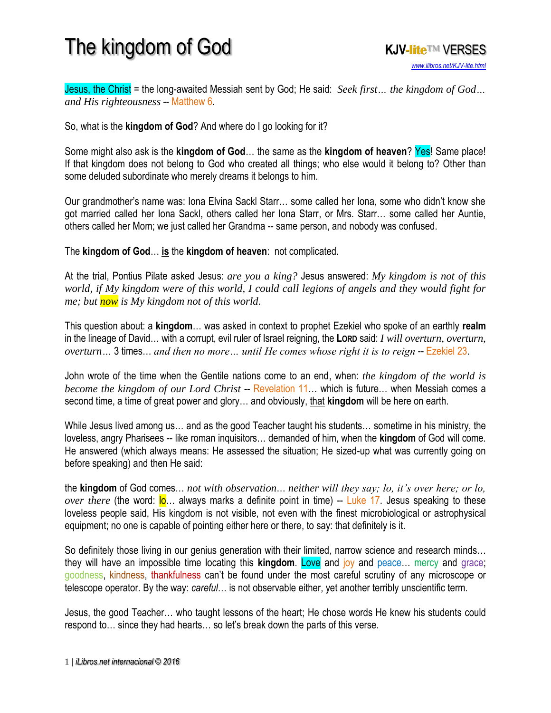## The kingdom of God **KJV-lite**™ VERSES



Jesus, the Christ = the long-awaited Messiah sent by God; He said: *Seek first… the kingdom of God… and His righteousness* -- Matthew 6.

So, what is the **kingdom of God**? And where do I go looking for it?

Some might also ask is the **kingdom of God**… the same as the **kingdom of heaven**? Yes! Same place! If that kingdom does not belong to God who created all things; who else would it belong to? Other than some deluded subordinate who merely dreams it belongs to him.

Our grandmother's name was: Iona Elvina Sackl Starr… some called her Iona, some who didn't know she got married called her Iona Sackl, others called her Iona Starr, or Mrs. Starr… some called her Auntie, others called her Mom; we just called her Grandma -- same person, and nobody was confused.

The **kingdom of God**… **is** the **kingdom of heaven**: not complicated.

At the trial, Pontius Pilate asked Jesus: *are you a king?* Jesus answered: *My kingdom is not of this world, if My kingdom were of this world, I could call legions of angels and they would fight for me; but now is My kingdom not of this world*.

This question about: a **kingdom**… was asked in context to prophet Ezekiel who spoke of an earthly **realm** in the lineage of David… with a corrupt, evil ruler of Israel reigning, the **LORD** said: *I will overturn, overturn, overturn*... 3 times... *and then no more* ... *until He comes whose right it is to reign* -- Ezekiel 23.

John wrote of the time when the Gentile nations come to an end, when: *the kingdom of the world is become the kingdom of our Lord Christ* -- Revelation 11... which is future... when Messiah comes a second time, a time of great power and glory… and obviously, that **kingdom** will be here on earth.

While Jesus lived among us… and as the good Teacher taught his students… sometime in his ministry, the loveless, angry Pharisees -- like roman inquisitors… demanded of him, when the **kingdom** of God will come. He answered (which always means: He assessed the situation; He sized-up what was currently going on before speaking) and then He said:

the **kingdom** of God comes… *not with observation*… *neither will they say; lo, it's over here; or lo, over there* (the word: lo... always marks a definite point in time) -- Luke 17. Jesus speaking to these loveless people said, His kingdom is not visible, not even with the finest microbiological or astrophysical equipment; no one is capable of pointing either here or there, to say: that definitely is it.

So definitely those living in our genius generation with their limited, narrow science and research minds... they will have an impossible time locating this **kingdom**. Love and joy and peace… mercy and grace; goodness, kindness, thankfulness can't be found under the most careful scrutiny of any microscope or telescope operator. By the way: *careful*… is not observable either, yet another terribly unscientific term.

Jesus, the good Teacher… who taught lessons of the heart; He chose words He knew his students could respond to… since they had hearts… so let's break down the parts of this verse.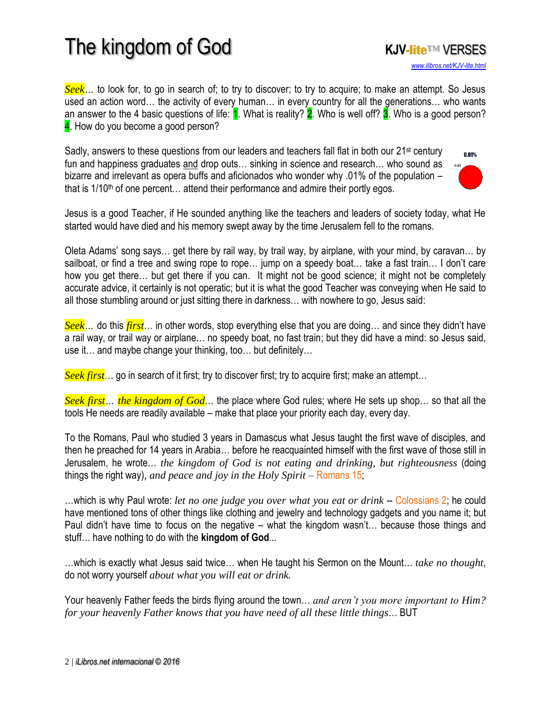## The kingdom of God **KJV-lite**™ VERSES



*Seek*... to look for, to go in search of; to try to discover; to try to acquire; to make an attempt. So Jesus used an action word… the activity of every human… in every country for all the generations… who wants an answer to the 4 basic questions of life:  $1$ . What is reality? 2. Who is well off? 3. Who is a good person? 4. How do you become a good person?

Sadly, answers to these questions from our leaders and teachers fall flat in both our 21<sup>st</sup> century fun and happiness graduates and drop outs… sinking in science and research… who sound as bizarre and irrelevant as opera buffs and aficionados who wonder why .01% of the population – that is  $1/10<sup>th</sup>$  of one percent... attend their performance and admire their portly egos.



Jesus is a good Teacher, if He sounded anything like the teachers and leaders of society today, what He started would have died and his memory swept away by the time Jerusalem fell to the romans.

Oleta Adams' song says… get there by rail way, by trail way, by airplane, with your mind, by caravan… by sailboat, or find a tree and swing rope to rope… jump on a speedy boat… take a fast train… I don't care how you get there… but get there if you can. It might not be good science; it might not be completely accurate advice, it certainly is not operatic; but it is what the good Teacher was conveying when He said to all those stumbling around or just sitting there in darkness… with nowhere to go, Jesus said:

*Seek…* do this *first*… in other words, stop everything else that you are doing… and since they didn't have a rail way, or trail way or airplane… no speedy boat, no fast train; but they did have a mind: so Jesus said, use it… and maybe change your thinking, too… but definitely…

*Seek first*… go in search of it first; try to discover first; try to acquire first; make an attempt…

*Seek first… the kingdom of God*… the place where God rules; where He sets up shop… so that all the tools He needs are readily available – make that place your priority each day, every day.

To the Romans, Paul who studied 3 years in Damascus what Jesus taught the first wave of disciples, and then he preached for 14 years in Arabia… before he reacquainted himself with the first wave of those still in Jerusalem, he wrote… *the kingdom of God is not eating and drinking, but righteousness* (doing things the right way)*, and peace and joy in the Holy Spirit* – Romans 15;

...which is why Paul wrote: *let no one judge you over what you eat or drink* -- Colossians 2; he could have mentioned tons of other things like clothing and jewelry and technology gadgets and you name it; but Paul didn't have time to focus on the negative – what the kingdom wasn't… because those things and stuff… have nothing to do with the **kingdom of God**...

…which is exactly what Jesus said twice… when He taught his Sermon on the Mount… *take no thought*, do not worry yourself *about what you will eat or drink.*

Your heavenly Father feeds the birds flying around the town… *and aren't you more important to Him? for your heavenly Father knows that you have need of all these little things*… BUT